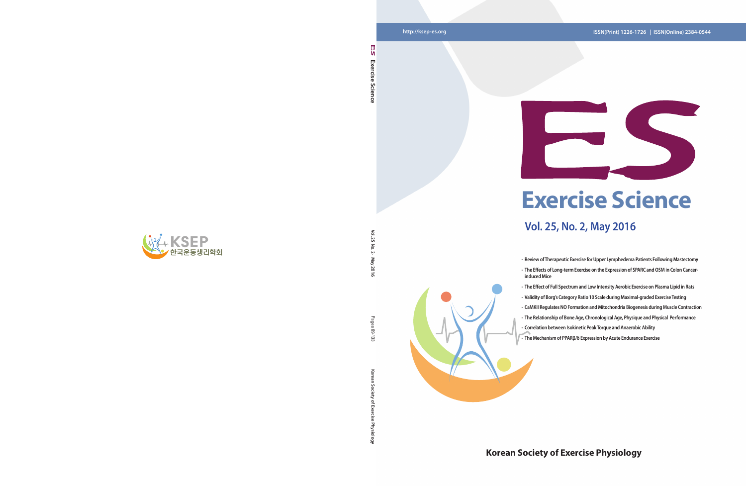**Vol. 25 No. 2 · May 2016**

· May 2016

Pages ශු ್ರ

Vol. 25  $\overline{5}$  $\sim$ 

**Korean Society of Exercise Physiology** Pages 69-133

Ğ

ਨ

# **Korean Society of Exercise Physiology**



**Exercise Science** 

Science

Exercise

n